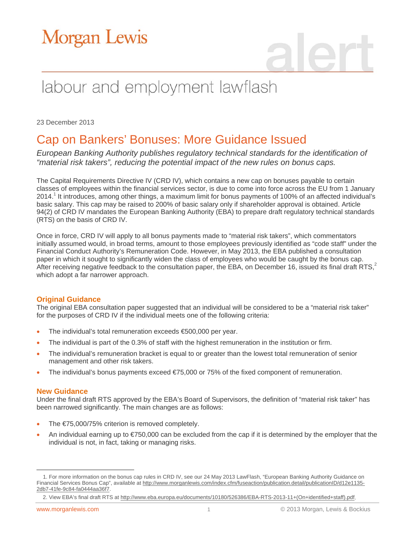# **Morgan Lewis**

## labour and employment lawflash

23 December 2013

### Cap on Bankers' Bonuses: More Guidance Issued

*European Banking Authority publishes regulatory technical standards for the identification of "material risk takers", reducing the potential impact of the new rules on bonus caps.*

The Capital Requirements Directive IV (CRD IV), which contains a new cap on bonuses payable to certain classes of employees within the financial services sector, is due to come into force across the EU from 1 January 2014.<sup>1</sup> It introduces, among other things, a maximum limit for bonus payments of 100% of an affected individual's basic salary. This cap may be raised to 200% of basic salary only if shareholder approval is obtained. Article 94(2) of CRD IV mandates the European Banking Authority (EBA) to prepare draft regulatory technical standards (RTS) on the basis of CRD IV.

Once in force, CRD IV will apply to all bonus payments made to "material risk takers", which commentators initially assumed would, in broad terms, amount to those employees previously identified as "code staff" under the Financial Conduct Authority's Remuneration Code. However, in May 2013, the EBA published a consultation paper in which it sought to significantly widen the class of employees who would be caught by the bonus cap. After receiving negative feedback to the consultation paper, the EBA, on December 16, issued its final draft RTS, $2$ which adopt a far narrower approach.

### **Original Guidance**

The original EBA consultation paper suggested that an individual will be considered to be a "material risk taker" for the purposes of CRD IV if the individual meets one of the following criteria:

- The individual's total remuneration exceeds €500,000 per year.
- The individual is part of the 0.3% of staff with the highest remuneration in the institution or firm.
- The individual's remuneration bracket is equal to or greater than the lowest total remuneration of senior management and other risk takers.
- The individual's bonus payments exceed €75,000 or 75% of the fixed component of remuneration.

### **New Guidance**

Under the final draft RTS approved by the EBA's Board of Supervisors, the definition of "material risk taker" has been narrowed significantly. The main changes are as follows:

- The €75,000/75% criterion is removed completely.
- An individual earning up to €750,000 can be excluded from the cap if it is determined by the employer that the individual is not, in fact, taking or managing risks.

 $\overline{a}$ 1. For more information on the bonus cap rules in CRD IV, see our 24 May 2013 LawFlash, "European Banking Authority Guidance on Financial Services Bonus Cap", available at http://www.morganlewis.com/index.cfm/fuseaction/publication.detail/publicationID/d12e1135-2db7-41fe-9c84-fa0444aa36f7.

<sup>2.</sup> View EBA's final draft RTS at http://www.eba.europa.eu/documents/10180/526386/EBA-RTS-2013-11+(On+identified+staff).pdf.